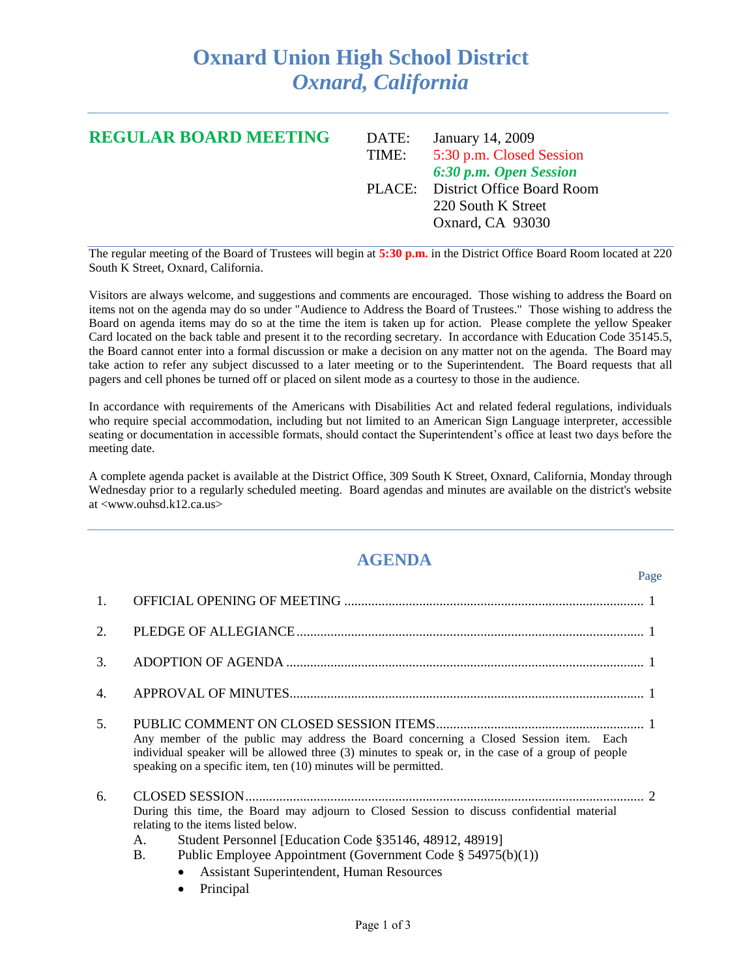## **Oxnard Union High School District** *Oxnard, California*

| <b>REGULAR BOARD MEETING</b> | DATE: | January 14, 2009                  |
|------------------------------|-------|-----------------------------------|
|                              | TIME: | 5:30 p.m. Closed Session          |
|                              |       | 6:30 p.m. Open Session            |
|                              |       | PLACE: District Office Board Room |
|                              |       | 220 South K Street                |
|                              |       | Oxnard, CA 93030                  |
|                              |       |                                   |

The regular meeting of the Board of Trustees will begin at **5:30 p.m.** in the District Office Board Room located at 220 South K Street, Oxnard, California.

Visitors are always welcome, and suggestions and comments are encouraged. Those wishing to address the Board on items not on the agenda may do so under "Audience to Address the Board of Trustees." Those wishing to address the Board on agenda items may do so at the time the item is taken up for action. Please complete the yellow Speaker Card located on the back table and present it to the recording secretary. In accordance with Education Code 35145.5, the Board cannot enter into a formal discussion or make a decision on any matter not on the agenda. The Board may take action to refer any subject discussed to a later meeting or to the Superintendent. The Board requests that all pagers and cell phones be turned off or placed on silent mode as a courtesy to those in the audience.

In accordance with requirements of the Americans with Disabilities Act and related federal regulations, individuals who require special accommodation, including but not limited to an American Sign Language interpreter, accessible seating or documentation in accessible formats, should contact the Superintendent's office at least two days before the meeting date.

A complete agenda packet is available at the District Office, 309 South K Street, Oxnard, California, Monday through Wednesday prior to a regularly scheduled meeting. Board agendas and minutes are available on the district's website at <www.ouhsd.k12.ca.us>

## **AGENDA**

Page

| 1. |                                                                                                                                                                                                                                                                                                                                                    |
|----|----------------------------------------------------------------------------------------------------------------------------------------------------------------------------------------------------------------------------------------------------------------------------------------------------------------------------------------------------|
| 2. |                                                                                                                                                                                                                                                                                                                                                    |
| 3. |                                                                                                                                                                                                                                                                                                                                                    |
| 4. |                                                                                                                                                                                                                                                                                                                                                    |
| 5. | Any member of the public may address the Board concerning a Closed Session item. Each<br>individual speaker will be allowed three (3) minutes to speak or, in the case of a group of people<br>speaking on a specific item, ten (10) minutes will be permitted.                                                                                    |
| 6. | During this time, the Board may adjourn to Closed Session to discuss confidential material<br>relating to the items listed below.<br>Student Personnel [Education Code §35146, 48912, 48919]<br>А.<br>Public Employee Appointment (Government Code $\S$ 54975(b)(1))<br><b>B.</b><br><b>Assistant Superintendent, Human Resources</b><br>Principal |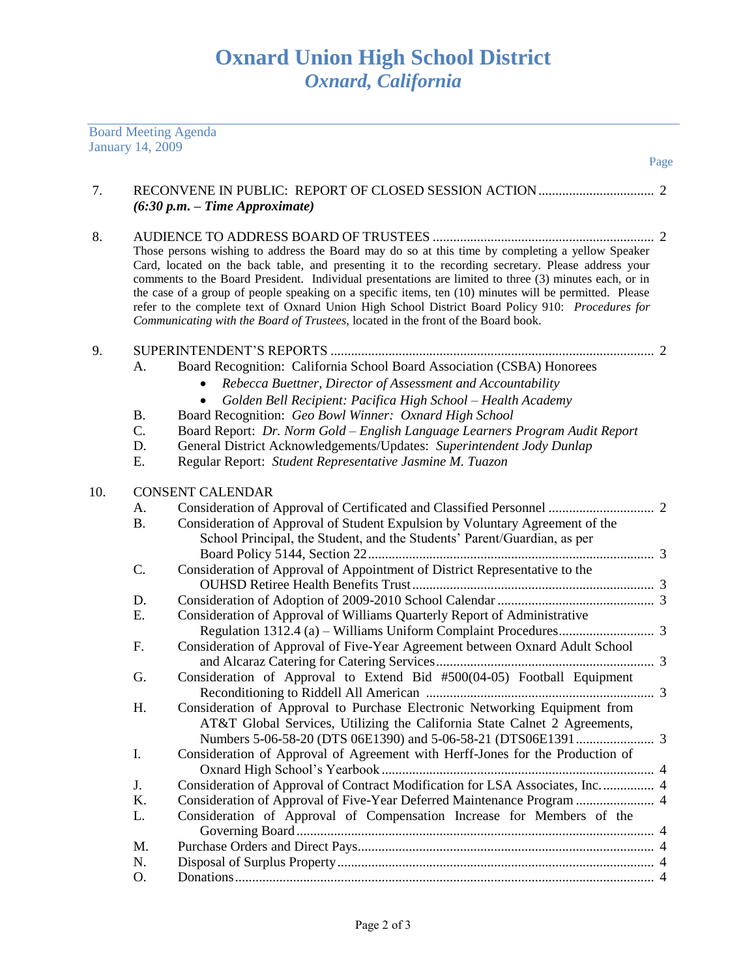|     | <b>Board Meeting Agenda</b>       |                                                                                                                                                                                                                                                                                                                                                                                                                                                                                                                                                                                                                     |
|-----|-----------------------------------|---------------------------------------------------------------------------------------------------------------------------------------------------------------------------------------------------------------------------------------------------------------------------------------------------------------------------------------------------------------------------------------------------------------------------------------------------------------------------------------------------------------------------------------------------------------------------------------------------------------------|
|     | <b>January 14, 2009</b>           | Page                                                                                                                                                                                                                                                                                                                                                                                                                                                                                                                                                                                                                |
|     |                                   |                                                                                                                                                                                                                                                                                                                                                                                                                                                                                                                                                                                                                     |
| 7.  |                                   | $(6:30 p.m. - Time Approximate)$                                                                                                                                                                                                                                                                                                                                                                                                                                                                                                                                                                                    |
| 8.  |                                   | Those persons wishing to address the Board may do so at this time by completing a yellow Speaker<br>Card, located on the back table, and presenting it to the recording secretary. Please address your<br>comments to the Board President. Individual presentations are limited to three (3) minutes each, or in<br>the case of a group of people speaking on a specific items, ten (10) minutes will be permitted. Please<br>refer to the complete text of Oxnard Union High School District Board Policy 910: Procedures for<br>Communicating with the Board of Trustees, located in the front of the Board book. |
| 9.  | A.<br><b>B.</b><br>C.<br>D.<br>Ε. | Board Recognition: California School Board Association (CSBA) Honorees<br>Rebecca Buettner, Director of Assessment and Accountability<br>Golden Bell Recipient: Pacifica High School - Health Academy<br>Board Recognition: Geo Bowl Winner: Oxnard High School<br>Board Report: Dr. Norm Gold - English Language Learners Program Audit Report<br>General District Acknowledgements/Updates: Superintendent Jody Dunlap<br>Regular Report: Student Representative Jasmine M. Tuazon                                                                                                                                |
| 10. |                                   | <b>CONSENT CALENDAR</b>                                                                                                                                                                                                                                                                                                                                                                                                                                                                                                                                                                                             |
|     | А.                                |                                                                                                                                                                                                                                                                                                                                                                                                                                                                                                                                                                                                                     |
|     | <b>B.</b>                         | Consideration of Approval of Student Expulsion by Voluntary Agreement of the<br>School Principal, the Student, and the Students' Parent/Guardian, as per                                                                                                                                                                                                                                                                                                                                                                                                                                                            |
|     | C.                                | Consideration of Approval of Appointment of District Representative to the                                                                                                                                                                                                                                                                                                                                                                                                                                                                                                                                          |
|     | D.                                |                                                                                                                                                                                                                                                                                                                                                                                                                                                                                                                                                                                                                     |
|     | E.                                | Consideration of Approval of Williams Quarterly Report of Administrative                                                                                                                                                                                                                                                                                                                                                                                                                                                                                                                                            |
|     | F.                                | Consideration of Approval of Five-Year Agreement between Oxnard Adult School                                                                                                                                                                                                                                                                                                                                                                                                                                                                                                                                        |
|     | G.                                | Consideration of Approval to Extend Bid #500(04-05) Football Equipment                                                                                                                                                                                                                                                                                                                                                                                                                                                                                                                                              |
|     | Η.                                | Consideration of Approval to Purchase Electronic Networking Equipment from<br>AT&T Global Services, Utilizing the California State Calnet 2 Agreements,                                                                                                                                                                                                                                                                                                                                                                                                                                                             |
|     | I.                                | Consideration of Approval of Agreement with Herff-Jones for the Production of                                                                                                                                                                                                                                                                                                                                                                                                                                                                                                                                       |
|     | J.                                | Consideration of Approval of Contract Modification for LSA Associates, Inc 4                                                                                                                                                                                                                                                                                                                                                                                                                                                                                                                                        |
|     | K.                                | Consideration of Approval of Five-Year Deferred Maintenance Program  4                                                                                                                                                                                                                                                                                                                                                                                                                                                                                                                                              |
|     | L.                                | Consideration of Approval of Compensation Increase for Members of the                                                                                                                                                                                                                                                                                                                                                                                                                                                                                                                                               |
|     | M.                                |                                                                                                                                                                                                                                                                                                                                                                                                                                                                                                                                                                                                                     |
|     | N.                                |                                                                                                                                                                                                                                                                                                                                                                                                                                                                                                                                                                                                                     |

O. Donations........................................................................................................................... 4